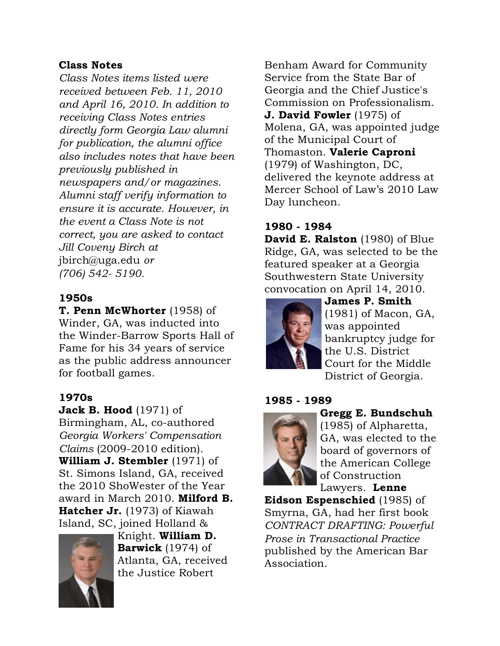#### Class Notes

*Class Notes items listed were received between Feb. 11, 2010 and April 16, 2010. In addition to receiving Class Notes entries directly form Georgia Law alumni for publication, the alumni office also includes notes that have been previously published in newspapers and/or magazines. Alumni staff verify information to ensure it is accurate. However, in the event a Class Note is not correct, you are asked to contact Jill Coveny Birch at* jbirch@uga.edu *or (706) 542- 5190.*

## 1950s

T. Penn McWhorter (1958) of Winder, GA, was inducted into the Winder-Barrow Sports Hall of Fame for his 34 years of service as the public address announcer for football games.

## 1970s

Jack B. Hood (1971) of

Birmingham, AL, co-authored *Georgia Workers' Compensation Claims* (2009-2010 edition). William J. Stembler (1971) of St. Simons Island, GA, received the 2010 ShoWester of the Year award in March 2010. Milford B. Hatcher Jr. (1973) of Kiawah Island, SC, joined Holland &



Knight. William D. Barwick (1974) of Atlanta, GA, received the Justice Robert

Benham Award for Community Service from the State Bar of Georgia and the Chief Justice's Commission on Professionalism.

**J. David Fowler** (1975) of Molena, GA, was appointed judge of the Municipal Court of Thomaston. Valerie Caproni (1979) of Washington, DC, delivered the keynote address at Mercer School of Law's 2010 Law Day luncheon.

# 1980 - 1984

David E. Ralston (1980) of Blue Ridge, GA, was selected to be the featured speaker at a Georgia Southwestern State University convocation on April 14, 2010.



James P. Smith (1981) of Macon, GA, was appointed bankruptcy judge for the U.S. District Court for the Middle District of Georgia.

#### 1985 - 1989



Gregg E. Bundschuh

(1985) of Alpharetta, GA, was elected to the board of governors of the American College of Construction Lawyers. Lenne

Eidson Espenschied (1985) of Smyrna, GA, had her first book *CONTRACT DRAFTING: Powerful Prose in Transactional Practice* published by the American Bar Association.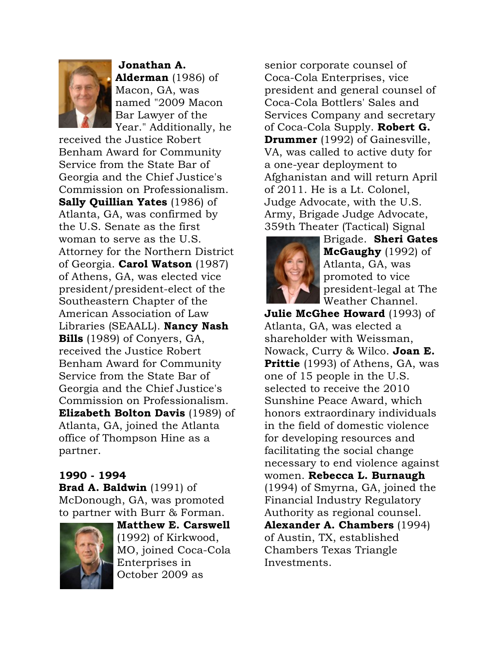

Jonathan A. Alderman (1986) of Macon, GA, was named "2009 Macon Bar Lawyer of the Year." Additionally, he

received the Justice Robert Benham Award for Community Service from the State Bar of Georgia and the Chief Justice's Commission on Professionalism. Sally Quillian Yates (1986) of Atlanta, GA, was confirmed by the U.S. Senate as the first woman to serve as the U.S. Attorney for the Northern District of Georgia. Carol Watson (1987) of Athens, GA, was elected vice president/president-elect of the Southeastern Chapter of the American Association of Law Libraries (SEAALL). Nancy Nash Bills (1989) of Conyers, GA, received the Justice Robert Benham Award for Community Service from the State Bar of Georgia and the Chief Justice's Commission on Professionalism. Elizabeth Bolton Davis (1989) of Atlanta, GA, joined the Atlanta office of Thompson Hine as a partner.

# 1990 - 1994

Brad A. Baldwin (1991) of McDonough, GA, was promoted to partner with Burr & Forman.



Matthew E. Carswell (1992) of Kirkwood, MO, joined Coca-Cola Enterprises in October 2009 as

senior corporate counsel of Coca-Cola Enterprises, vice president and general counsel of Coca-Cola Bottlers' Sales and Services Company and secretary of Coca-Cola Supply. Robert G. Drummer (1992) of Gainesville, VA, was called to active duty for a one-year deployment to Afghanistan and will return April of 2011. He is a Lt. Colonel, Judge Advocate, with the U.S. Army, Brigade Judge Advocate, 359th Theater (Tactical) Signal



Brigade. Sheri Gates McGaughy (1992) of Atlanta, GA, was promoted to vice president-legal at The Weather Channel.

**Julie McGhee Howard** (1993) of Atlanta, GA, was elected a shareholder with Weissman, Nowack, Curry & Wilco. Joan E. Prittie (1993) of Athens, GA, was one of 15 people in the U.S. selected to receive the 2010 Sunshine Peace Award, which honors extraordinary individuals in the field of domestic violence for developing resources and facilitating the social change necessary to end violence against women. Rebecca L. Burnaugh (1994) of Smyrna, GA, joined the Financial Industry Regulatory Authority as regional counsel. Alexander A. Chambers (1994) of Austin, TX, established Chambers Texas Triangle Investments.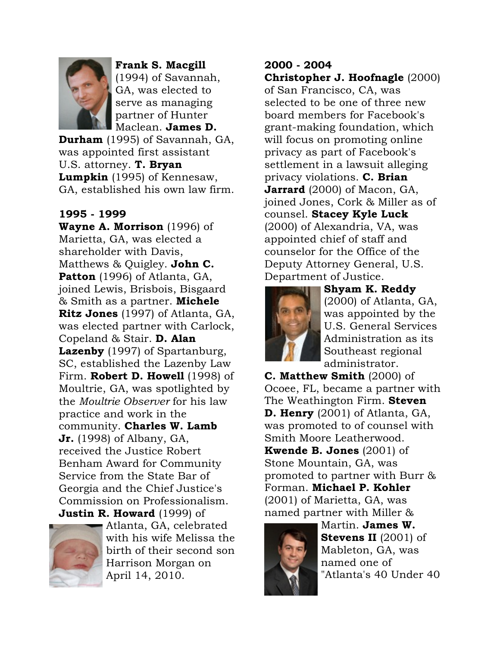

Frank S. Macgill (1994) of Savannah, GA, was elected to serve as managing partner of Hunter Maclean. James D.

Durham (1995) of Savannah, GA, was appointed first assistant U.S. attorney. T. Bryan Lumpkin (1995) of Kennesaw, GA, established his own law firm.

## 1995 - 1999

Wayne A. Morrison (1996) of Marietta, GA, was elected a shareholder with Davis, Matthews & Quigley. John C. Patton (1996) of Atlanta, GA, joined Lewis, Brisbois, Bisgaard & Smith as a partner. Michele Ritz Jones (1997) of Atlanta, GA, was elected partner with Carlock, Copeland & Stair. D. Alan Lazenby (1997) of Spartanburg, SC, established the Lazenby Law Firm. Robert D. Howell (1998) of Moultrie, GA, was spotlighted by the *Moultrie Observer* for his law practice and work in the community. Charles W. Lamb **Jr.** (1998) of Albany, GA, received the Justice Robert Benham Award for Community Service from the State Bar of Georgia and the Chief Justice's Commission on Professionalism. **Justin R. Howard** (1999) of



Atlanta, GA, celebrated with his wife Melissa the birth of their second son Harrison Morgan on April 14, 2010.

## 2000 - 2004

Christopher J. Hoofnagle (2000) of San Francisco, CA, was selected to be one of three new board members for Facebook's grant-making foundation, which will focus on promoting online privacy as part of Facebook's settlement in a lawsuit alleging privacy violations. C. Brian Jarrard (2000) of Macon, GA, joined Jones, Cork & Miller as of counsel. Stacey Kyle Luck (2000) of Alexandria, VA, was appointed chief of staff and counselor for the Office of the Deputy Attorney General, U.S. Department of Justice.



Shyam K. Reddy (2000) of Atlanta, GA, was appointed by the U.S. General Services Administration as its Southeast regional administrator.

C. Matthew Smith (2000) of Ocoee, FL, became a partner with The Weathington Firm. **Steven** D. Henry (2001) of Atlanta, GA, was promoted to of counsel with Smith Moore Leatherwood. **Kwende B. Jones**  $(2001)$  of Stone Mountain, GA, was promoted to partner with Burr & Forman. Michael P. Kohler (2001) of Marietta, GA, was named partner with Miller &



Martin. James W. Stevens II (2001) of Mableton, GA, was named one of "Atlanta's 40 Under 40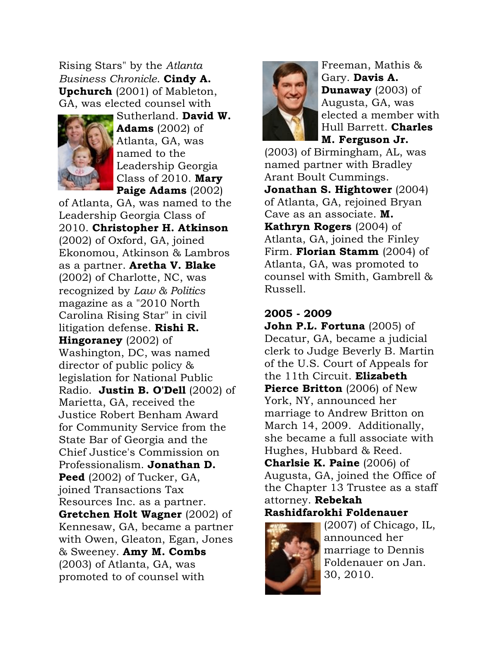Rising Stars" by the *Atlanta Business Chronicle*. Cindy A. Upchurch (2001) of Mableton, GA, was elected counsel with



Sutherland. David W. **Adams**  $(2002)$  of Atlanta, GA, was named to the Leadership Georgia Class of 2010. Mary Paige Adams (2002)

of Atlanta, GA, was named to the Leadership Georgia Class of 2010. Christopher H. Atkinson (2002) of Oxford, GA, joined Ekonomou, Atkinson & Lambros as a partner. Aretha V. Blake (2002) of Charlotte, NC, was recognized by *Law & Politics* magazine as a "2010 North Carolina Rising Star" in civil litigation defense. Rishi R. Hingoraney (2002) of Washington, DC, was named director of public policy & legislation for National Public Radio. Justin B. O'Dell (2002) of Marietta, GA, received the Justice Robert Benham Award for Community Service from the State Bar of Georgia and the Chief Justice's Commission on Professionalism. Jonathan D. Peed (2002) of Tucker, GA, joined Transactions Tax Resources Inc. as a partner. Gretchen Holt Wagner (2002) of Kennesaw, GA, became a partner with Owen, Gleaton, Egan, Jones & Sweeney. Amy M. Combs (2003) of Atlanta, GA, was promoted to of counsel with



Freeman, Mathis & Gary. Davis A. Dunaway (2003) of Augusta, GA, was elected a member with Hull Barrett. Charles M. Ferguson Jr.

(2003) of Birmingham, AL, was named partner with Bradley Arant Boult Cummings. Jonathan S. Hightower (2004) of Atlanta, GA, rejoined Bryan Cave as an associate. M. Kathryn Rogers (2004) of Atlanta, GA, joined the Finley Firm. **Florian Stamm** (2004) of Atlanta, GA, was promoted to counsel with Smith, Gambrell & Russell.

#### 2005 - 2009

**John P.L. Fortuna**  $(2005)$  of Decatur, GA, became a judicial clerk to Judge Beverly B. Martin of the U.S. Court of Appeals for the 11th Circuit. Elizabeth **Pierce Britton** (2006) of New York, NY, announced her marriage to Andrew Britton on March 14, 2009. Additionally, she became a full associate with Hughes, Hubbard & Reed.

**Charlsie K. Paine** (2006) of Augusta, GA, joined the Office of the Chapter 13 Trustee as a staff attorney. Rebekah Rashidfarokhi Foldenauer



(2007) of Chicago, IL, announced her marriage to Dennis Foldenauer on Jan. 30, 2010.